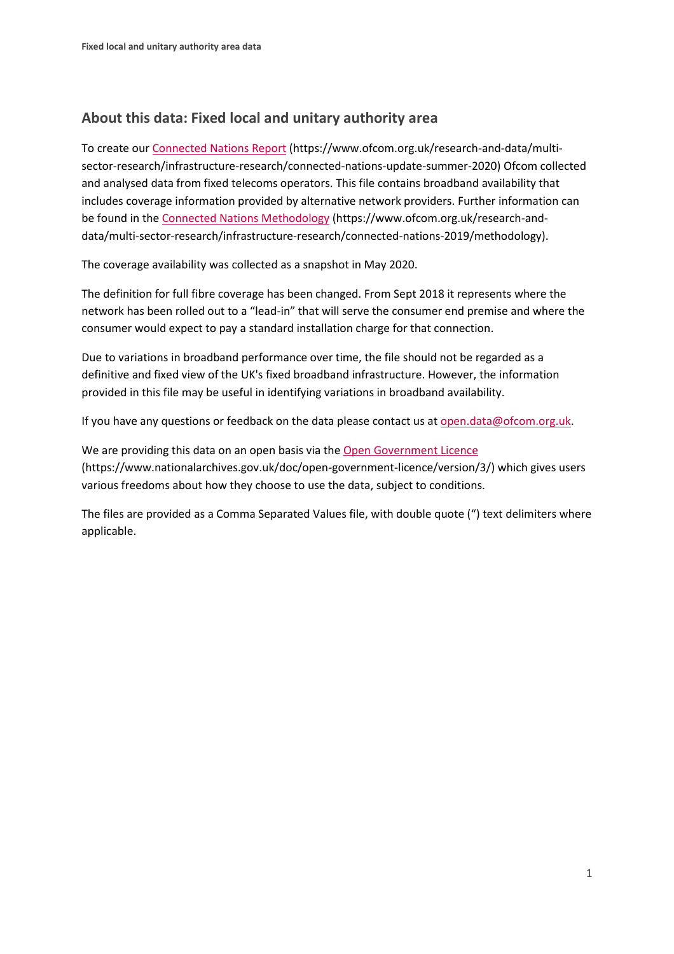## **About this data: Fixed local and unitary authority area**

To create ou[r Connected Nations Report](https://www.ofcom.org.uk/research-and-data/multi-sector-research/infrastructure-research/connected-nations-update-summer-2020) (https://www.ofcom.org.uk/research-and-data/multisector-research/infrastructure-research/connected-nations-update-summer-2020) Ofcom collected and analysed data from fixed telecoms operators. This file contains broadband availability that includes coverage information provided by alternative network providers. Further information can be found in the [Connected Nations Methodology](https://www.ofcom.org.uk/research-and-data/multi-sector-research/infrastructure-research/connected-nations-2019/methodology) (https://www.ofcom.org.uk/research-anddata/multi-sector-research/infrastructure-research/connected-nations-2019/methodology).

The coverage availability was collected as a snapshot in May 2020.

The definition for full fibre coverage has been changed. From Sept 2018 it represents where the network has been rolled out to a "lead-in" that will serve the consumer end premise and where the consumer would expect to pay a standard installation charge for that connection.

Due to variations in broadband performance over time, the file should not be regarded as a definitive and fixed view of the UK's fixed broadband infrastructure. However, the information provided in this file may be useful in identifying variations in broadband availability.

If you have any questions or feedback on the data please contact us at [open.data@ofcom.org.uk.](mailto:open.data@ofcom.org.uk)

We are providing this data on an open basis via the [Open Government Licence](https://www.nationalarchives.gov.uk/doc/open-government-licence/version/3/) (https://www.nationalarchives.gov.uk/doc/open-government-licence/version/3/) which gives users various freedoms about how they choose to use the data, subject to conditions.

The files are provided as a Comma Separated Values file, with double quote (") text delimiters where applicable.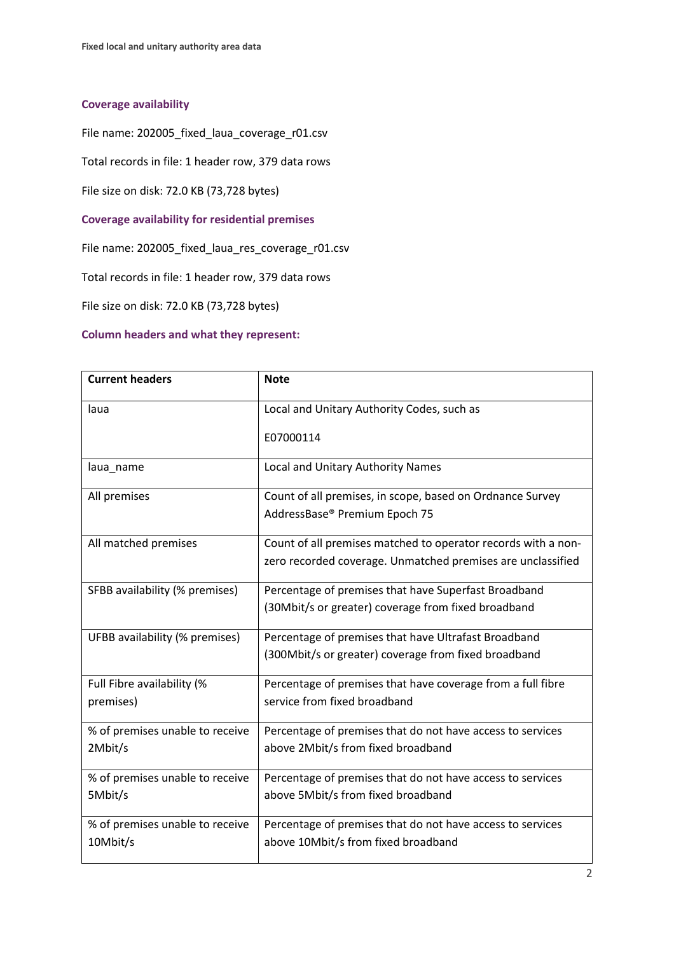## **Coverage availability**

File name: 202005\_fixed\_laua\_coverage\_r01.csv

Total records in file: 1 header row, 379 data rows

File size on disk: 72.0 KB (73,728 bytes)

**Coverage availability for residential premises**

File name: 202005\_fixed\_laua\_res\_coverage\_r01.csv

Total records in file: 1 header row, 379 data rows

File size on disk: 72.0 KB (73,728 bytes)

## **Column headers and what they represent:**

| <b>Current headers</b>          | <b>Note</b>                                                   |
|---------------------------------|---------------------------------------------------------------|
| laua                            | Local and Unitary Authority Codes, such as                    |
|                                 | E07000114                                                     |
| laua_name                       | Local and Unitary Authority Names                             |
| All premises                    | Count of all premises, in scope, based on Ordnance Survey     |
|                                 | AddressBase® Premium Epoch 75                                 |
| All matched premises            | Count of all premises matched to operator records with a non- |
|                                 | zero recorded coverage. Unmatched premises are unclassified   |
| SFBB availability (% premises)  | Percentage of premises that have Superfast Broadband          |
|                                 | (30Mbit/s or greater) coverage from fixed broadband           |
| UFBB availability (% premises)  | Percentage of premises that have Ultrafast Broadband          |
|                                 | (300Mbit/s or greater) coverage from fixed broadband          |
| Full Fibre availability (%      | Percentage of premises that have coverage from a full fibre   |
| premises)                       | service from fixed broadband                                  |
| % of premises unable to receive | Percentage of premises that do not have access to services    |
| 2Mbit/s                         | above 2Mbit/s from fixed broadband                            |
| % of premises unable to receive | Percentage of premises that do not have access to services    |
| 5Mbit/s                         | above 5Mbit/s from fixed broadband                            |
| % of premises unable to receive | Percentage of premises that do not have access to services    |
| 10Mbit/s                        | above 10Mbit/s from fixed broadband                           |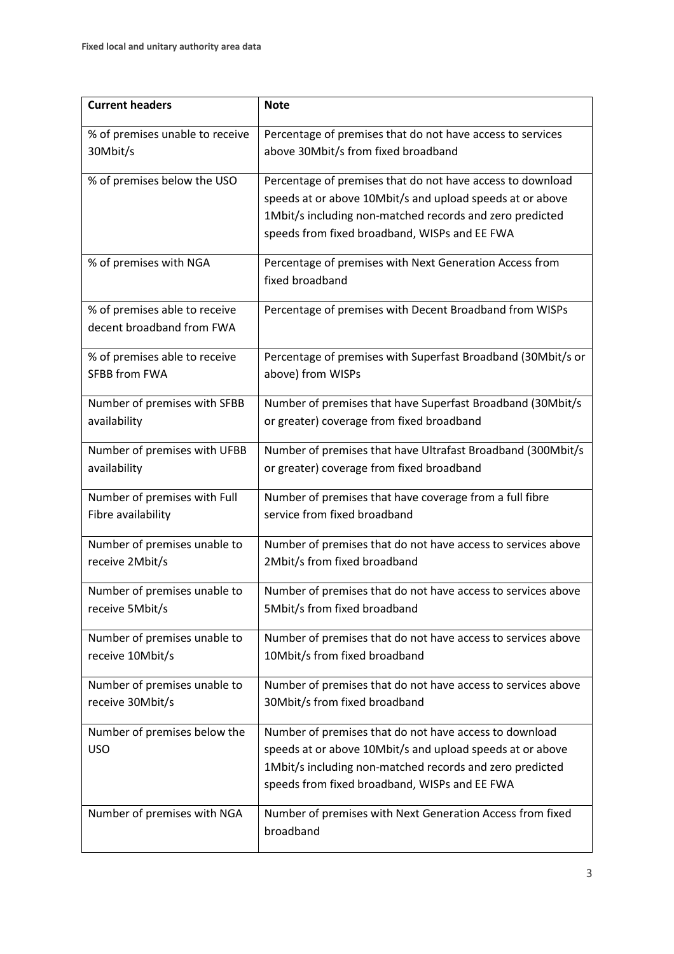| <b>Current headers</b>          | <b>Note</b>                                                  |
|---------------------------------|--------------------------------------------------------------|
| % of premises unable to receive | Percentage of premises that do not have access to services   |
| 30Mbit/s                        | above 30Mbit/s from fixed broadband                          |
| % of premises below the USO     | Percentage of premises that do not have access to download   |
|                                 | speeds at or above 10Mbit/s and upload speeds at or above    |
|                                 | 1Mbit/s including non-matched records and zero predicted     |
|                                 | speeds from fixed broadband, WISPs and EE FWA                |
| % of premises with NGA          | Percentage of premises with Next Generation Access from      |
|                                 | fixed broadband                                              |
| % of premises able to receive   | Percentage of premises with Decent Broadband from WISPs      |
| decent broadband from FWA       |                                                              |
| % of premises able to receive   | Percentage of premises with Superfast Broadband (30Mbit/s or |
| SFBB from FWA                   | above) from WISPs                                            |
| Number of premises with SFBB    | Number of premises that have Superfast Broadband (30Mbit/s   |
| availability                    | or greater) coverage from fixed broadband                    |
|                                 |                                                              |
| Number of premises with UFBB    | Number of premises that have Ultrafast Broadband (300Mbit/s  |
| availability                    | or greater) coverage from fixed broadband                    |
| Number of premises with Full    | Number of premises that have coverage from a full fibre      |
| Fibre availability              | service from fixed broadband                                 |
| Number of premises unable to    | Number of premises that do not have access to services above |
| receive 2Mbit/s                 | 2Mbit/s from fixed broadband                                 |
| Number of premises unable to    | Number of premises that do not have access to services above |
| receive 5Mbit/s                 | 5Mbit/s from fixed broadband                                 |
| Number of premises unable to    | Number of premises that do not have access to services above |
| receive 10Mbit/s                | 10Mbit/s from fixed broadband                                |
| Number of premises unable to    | Number of premises that do not have access to services above |
| receive 30Mbit/s                | 30Mbit/s from fixed broadband                                |
| Number of premises below the    | Number of premises that do not have access to download       |
| <b>USO</b>                      | speeds at or above 10Mbit/s and upload speeds at or above    |
|                                 | 1Mbit/s including non-matched records and zero predicted     |
|                                 | speeds from fixed broadband, WISPs and EE FWA                |
| Number of premises with NGA     | Number of premises with Next Generation Access from fixed    |
|                                 | broadband                                                    |
|                                 |                                                              |